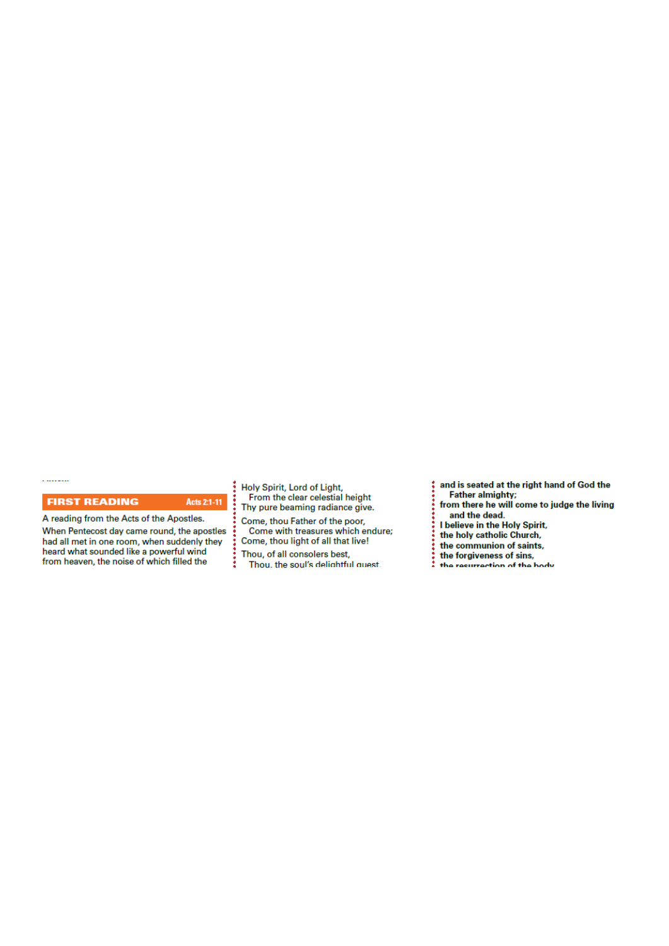# *Our Lady & St Edmund of Abingdon 1 Radley Rd, Abingdon on Thames, Oxon, OX14 3PL*

We are a *LiveSimply* parish aiming to live Simply, Sustainably and in Solidarity with the Poor

| Parish Priest:              | Fr. Jamie McGrath                                               | Tel: 01235 520375                                                                                             |  |
|-----------------------------|-----------------------------------------------------------------|---------------------------------------------------------------------------------------------------------------|--|
| Parish Secretary:           | Lisa Paterson                                                   | Tel: 01235 520375                                                                                             |  |
| Office Hours:               | 10.30am-12.30pm Tuesday to Friday                               |                                                                                                               |  |
| Office Email:               | abingdon@portsmouthdiocese.org.uk                               |                                                                                                               |  |
| We live stream all services |                                                                 |                                                                                                               |  |
| Safeguarding Team:          | Tel. 07572 935 230                                              |                                                                                                               |  |
| Visits at JR Hospital:      | Priest/Chaplain 01865 221732                                    |                                                                                                               |  |
| Visits and Help:            | Society of Vincent de Paul Group, contact via Parish Office     |                                                                                                               |  |
| Parish Website:             | www.ourladyandstedmund.org.uk                                   |                                                                                                               |  |
| Primary School:             | St. Edmund's School, Radley Road, Abingdon, OX14 3PP Tel 521558 |                                                                                                               |  |
|                             |                                                                 | and the company of the state of the state of the state of the state of the state of the state of the state of |  |

# **OFFICE CLOSURE DATES**

Please note that the parish office will be closed on from Friday 30th July until Friday 13th August.

# **PRIVATE PRAYER**

We are blessed that the church can be open, but for **private prayer only**, on the following days and times:

- *Tuesdays:* **12pm to 1pm**
- *Fridays:* **12pm to 1pm**

### **MASS BOOKINGS:**

*On Monday 24th May you can book for Masses from Sunday 30th May to Saturday 5th June.*

**PLEASE** remember to give as many dates and times when you could attend, and book *on* the Monday – otherwise you may be disappointed. Also be clear on the number of people you are booking for and let us know if you would like to attend more than one Mass during the week.

# **HOW TO BOOK FOR MASS**

# **No Internet Access?**

Phone 07395 946827 EACH MONDAY between 10am and 11am ONLY to book a place for the FOLLOWING week

# **Have Internet Access?**

**DON'T phone. Instead, email:** contact@ourladyandstedmund.org.uk **EACH MONDAY, to book a place for the FOLLOWING week** 

# **CONFESSIONS**

By appointment only for now. Please contact the *parish office* to book an appointment.

# **NEWSLETTERS**

We are currently still not able to offer any printed material in church. Please bring your own newsletter with you if you would like to (you can download it from our website).

Roman Catholic Diocese of Portsmouth Reg. Charity No 246871 www.portsmouthdiocese.org.uk

# **8th Week of Ordinary Time (Year B)** *Attendance through booking system only, but also available on our live stream*

| <b>Sunday 23 May</b>    |                                              | <b>PENTECOST SUNDAY</b>                                         |
|-------------------------|----------------------------------------------|-----------------------------------------------------------------|
| $10.15$ am              | Mass                                         | (Derek & Beverley Stacey - Ruby<br><b>Wedding Anniversary</b> ) |
| 2.00 <sub>pm</sub>      | Mass in Polish                               |                                                                 |
| 6.30pm                  | Mass                                         | (Private intention)                                             |
| <b>Monday 24 May</b>    |                                              | <b>Blessed Virgin Mary, Mother</b>                              |
|                         |                                              | of the Church                                                   |
| 9am                     | Mass                                         | <i>(Special intention)</i>                                      |
| Tuesday 25 May          |                                              | <b>St Bede the Venerable</b>                                    |
|                         | martyrs-vale-of-white-horse for other masses | NO Mass See: www.ourladyandstedmund.org.uk/english-             |
| <b>Wednesday 26 May</b> |                                              | <b>St Philip Neri</b>                                           |
| 7pm                     | Mass                                         | <i>(Special intention)</i>                                      |
| <b>Thursday 27 May</b>  |                                              | <b>Our Lord Jesus Christ, the</b><br><b>Eternal High Priest</b> |
| 9.30am                  | Mass                                         | (Sylvia Browne, RIP)                                            |
| <b>Friday 28 May</b>    |                                              |                                                                 |
| 7pm                     | Mass                                         | (Margaret & John Foster, RIP)                                   |

# **Saturday 29 May**

12pm Mass *(Special intention)*



# **SPIRITUAL COMMUNION PRAYER:**

My Jesus, I believe that You are present in the Most Blessed Sacrament. I love You above all things, and I desire to receive You into my soul. Since I cannot today receive You sacramentally, come at least spiritually into my heart. I embrace You as if You were already there, and unite myself wholly to You. Never permit me to be separated from You. Amen.